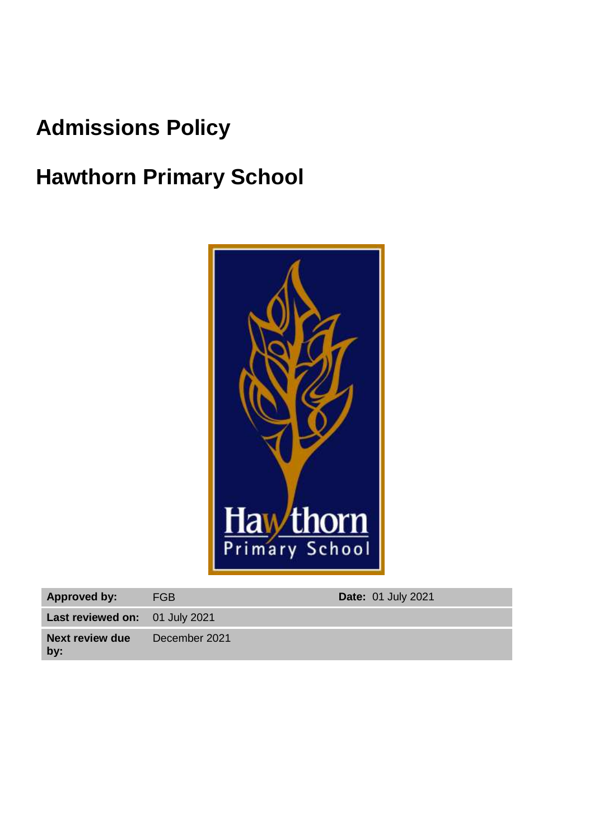# **Admissions Policy**

# **Hawthorn Primary School**



| <b>Approved by:</b>                   | <b>FGB</b>    | <b>Date: 01 July 2021</b> |
|---------------------------------------|---------------|---------------------------|
| <b>Last reviewed on:</b> 01 July 2021 |               |                           |
| <b>Next review due</b><br>by:         | December 2021 |                           |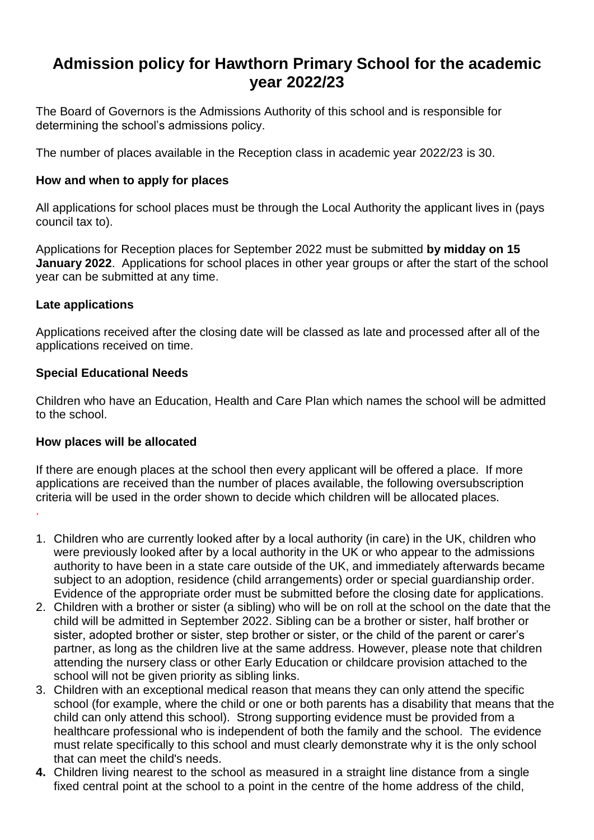# **Admission policy for Hawthorn Primary School for the academic year 2022/23**

The Board of Governors is the Admissions Authority of this school and is responsible for determining the school's admissions policy.

The number of places available in the Reception class in academic year 2022/23 is 30.

# **How and when to apply for places**

All applications for school places must be through the Local Authority the applicant lives in (pays council tax to).

Applications for Reception places for September 2022 must be submitted **by midday on 15 January 2022**. Applications for school places in other year groups or after the start of the school year can be submitted at any time.

### **Late applications**

.

Applications received after the closing date will be classed as late and processed after all of the applications received on time.

### **Special Educational Needs**

Children who have an Education, Health and Care Plan which names the school will be admitted to the school.

#### **How places will be allocated**

If there are enough places at the school then every applicant will be offered a place. If more applications are received than the number of places available, the following oversubscription criteria will be used in the order shown to decide which children will be allocated places.

- 1. Children who are currently looked after by a local authority (in care) in the UK, children who were previously looked after by a local authority in the UK or who appear to the admissions authority to have been in a state care outside of the UK, and immediately afterwards became subject to an adoption, residence (child arrangements) order or special guardianship order. Evidence of the appropriate order must be submitted before the closing date for applications.
- 2. Children with a brother or sister (a sibling) who will be on roll at the school on the date that the child will be admitted in September 2022. Sibling can be a brother or sister, half brother or sister, adopted brother or sister, step brother or sister, or the child of the parent or carer's partner, as long as the children live at the same address. However, please note that children attending the nursery class or other Early Education or childcare provision attached to the school will not be given priority as sibling links.
- 3. Children with an exceptional medical reason that means they can only attend the specific school (for example, where the child or one or both parents has a disability that means that the child can only attend this school). Strong supporting evidence must be provided from a healthcare professional who is independent of both the family and the school. The evidence must relate specifically to this school and must clearly demonstrate why it is the only school that can meet the child's needs.
- **4.** Children living nearest to the school as measured in a straight line distance from a single fixed central point at the school to a point in the centre of the home address of the child,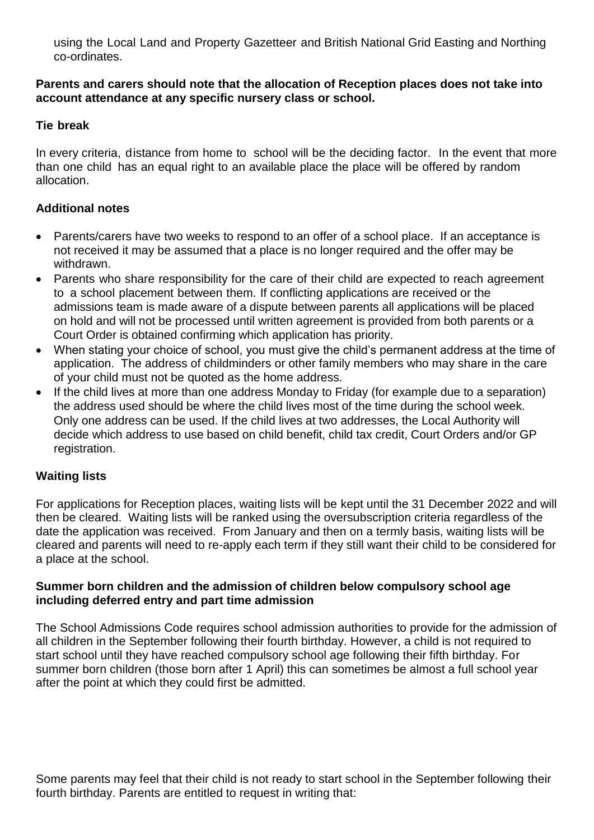using the Local Land and Property Gazetteer and British National Grid Easting and Northing co-ordinates.

#### **Parents and carers should note that the allocation of Reception places does not take into account attendance at any specific nursery class or school.**

# **Tie break**

In every criteria, distance from home to school will be the deciding factor. In the event that more than one child has an equal right to an available place the place will be offered by random allocation.

# **Additional notes**

- Parents/carers have two weeks to respond to an offer of a school place. If an acceptance is not received it may be assumed that a place is no longer required and the offer may be withdrawn.
- Parents who share responsibility for the care of their child are expected to reach agreement to a school placement between them. If conflicting applications are received or the admissions team is made aware of a dispute between parents all applications will be placed on hold and will not be processed until written agreement is provided from both parents or a Court Order is obtained confirming which application has priority.
- When stating your choice of school, you must give the child's permanent address at the time of application. The address of childminders or other family members who may share in the care of your child must not be quoted as the home address.
- If the child lives at more than one address Monday to Friday (for example due to a separation) the address used should be where the child lives most of the time during the school week. Only one address can be used. If the child lives at two addresses, the Local Authority will decide which address to use based on child benefit, child tax credit, Court Orders and/or GP registration.

# **Waiting lists**

For applications for Reception places, waiting lists will be kept until the 31 December 2022 and will then be cleared. Waiting lists will be ranked using the oversubscription criteria regardless of the date the application was received. From January and then on a termly basis, waiting lists will be cleared and parents will need to re-apply each term if they still want their child to be considered for a place at the school.

#### **Summer born children and the admission of children below compulsory school age including deferred entry and part time admission**

The School Admissions Code requires school admission authorities to provide for the admission of all children in the September following their fourth birthday. However, a child is not required to start school until they have reached compulsory school age following their fifth birthday. For summer born children (those born after 1 April) this can sometimes be almost a full school year after the point at which they could first be admitted.

Some parents may feel that their child is not ready to start school in the September following their fourth birthday. Parents are entitled to request in writing that: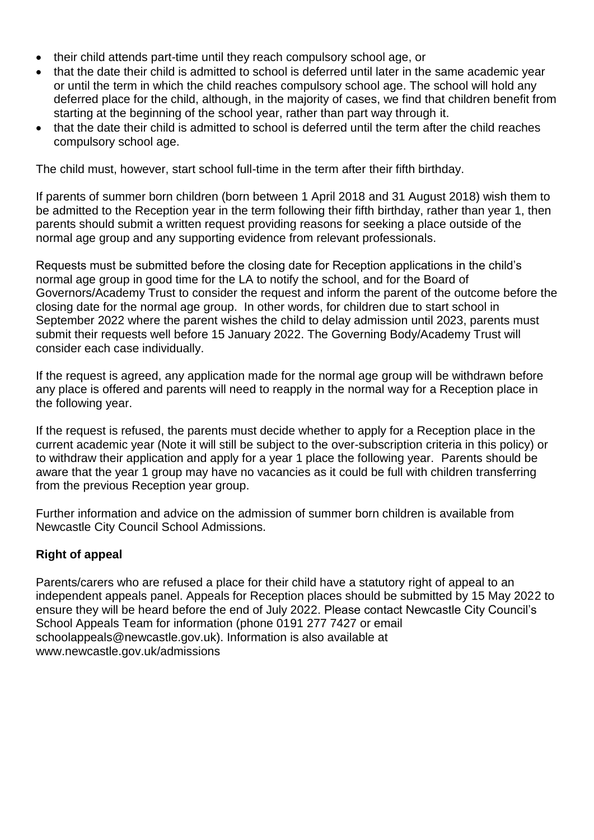- their child attends part-time until they reach compulsory school age, or
- that the date their child is admitted to school is deferred until later in the same academic year or until the term in which the child reaches compulsory school age. The school will hold any deferred place for the child, although, in the majority of cases, we find that children benefit from starting at the beginning of the school year, rather than part way through it.
- that the date their child is admitted to school is deferred until the term after the child reaches compulsory school age.

The child must, however, start school full-time in the term after their fifth birthday.

If parents of summer born children (born between 1 April 2018 and 31 August 2018) wish them to be admitted to the Reception year in the term following their fifth birthday, rather than year 1, then parents should submit a written request providing reasons for seeking a place outside of the normal age group and any supporting evidence from relevant professionals.

Requests must be submitted before the closing date for Reception applications in the child's normal age group in good time for the LA to notify the school, and for the Board of Governors/Academy Trust to consider the request and inform the parent of the outcome before the closing date for the normal age group. In other words, for children due to start school in September 2022 where the parent wishes the child to delay admission until 2023, parents must submit their requests well before 15 January 2022. The Governing Body/Academy Trust will consider each case individually.

If the request is agreed, any application made for the normal age group will be withdrawn before any place is offered and parents will need to reapply in the normal way for a Reception place in the following year.

If the request is refused, the parents must decide whether to apply for a Reception place in the current academic year (Note it will still be subject to the over-subscription criteria in this policy) or to withdraw their application and apply for a year 1 place the following year. Parents should be aware that the year 1 group may have no vacancies as it could be full with children transferring from the previous Reception year group.

Further information and advice on the admission of summer born children is available from Newcastle City Council School Admissions.

# **Right of appeal**

Parents/carers who are refused a place for their child have a statutory right of appeal to an independent appeals panel. Appeals for Reception places should be submitted by 15 May 2022 to ensure they will be heard before the end of July 2022. Please contact Newcastle City Council's School Appeals Team for information (phone 0191 277 7427 or email schoolappeals@newcastle.gov.uk). Information is also available at www.newcastle.gov.uk/admissions